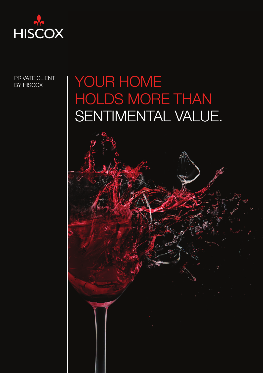

PRIVATE CLIENT BY HISCOX

# YOUR HOME HOLDS MORE THAN SENTIMENTAL VALUE.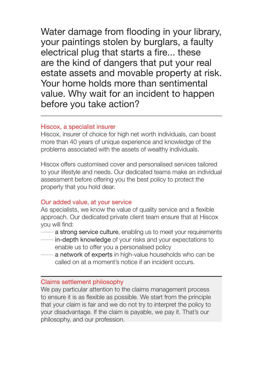Water damage from flooding in your library. your paintings stolen by burglars, a faulty electrical plug that starts a fire... these are the kind of dangers that put your real estate assets and movable property at risk. Your home holds more than sentimental value. Why wait for an incident to happen before you take action?

### Hiscox, a specialist insurer

Hiscox, insurer of choice for high net worth individuals, can boast more than 40 years of unique experience and knowledge of the problems associated with the assets of wealthy individuals.

Hiscox offers customised cover and personalised services tailored to your lifestyle and needs. Our dedicated teams make an individual assessment before offering you the best policy to protect the property that you hold dear.

### Our added value, at your service

As specialists, we know the value of quality service and a flexible approach. Our dedicated private client team ensure that at Hiscox you will find:

- a strong service culture, enabling us to meet your requirements
- in-depth knowledge of your risks and your expectations to enable us to offer you a personalised policy
- a network of experts in high-value households who can be called on at a moment's notice if an incident occurs.

### Claims settlement philosophy

We pay particular attention to the claims management process to ensure it is as flexible as possible. We start from the principle that your claim is fair and we do not try to interpret the policy to your disadvantage. If the claim is payable, we pay it. That's our philosophy, and our profession.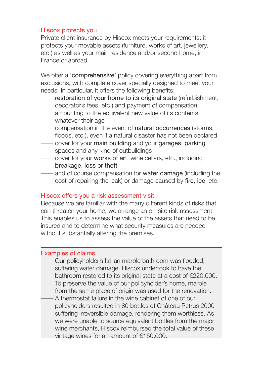#### Hiscox protects you

Private client insurance by Hiscox meets your requirements: it protects your movable assets (furniture, works of art, jewellery, etc.) as well as your main residence and/or second home, in France or abroad.

We offer a 'comprehensive' policy covering everything apart from exclusions, with complete cover specially designed to meet your needs. In particular, it offers the following benefits:

- restoration of your home to its original state (refurbishment, decorator's fees, etc.) and payment of compensation amounting to the equivalent new value of its contents, whatever their age
- compensation in the event of natural occurrences (storms, floods, etc.), even if a natural disaster has not been declared
- cover for your main building and your garages, parking spaces and any kind of outbuildings
- cover for your works of art, wine cellars, etc., including breakage, loss or theft
- and of course compensation for water damage (including the cost of repairing the leak) or damage caused by fire, ice, etc.

#### Hiscox offers you a risk assessment visit

Because we are familiar with the many different kinds of risks that can threaten your home, we arrange an on-site risk assessment. This enables us to assess the value of the assets that need to be insured and to determine what security measures are needed without substantially altering the premises.

## Examples of claims

Our policyholder's Italian marble bathroom was flooded, suffering water damage. Hiscox undertook to have the bathroom restored to its original state at a cost of €220,000. To preserve the value of our policyholder's home, marble from the same place of origin was used for the renovation. A thermostat failure in the wine cabinet of one of our policyholders resulted in 80 bottles of Château Petrus 2000 suffering irreversible damage, rendering them worthless. As we were unable to source equivalent bottles from the major wine merchants, Hiscox reimbursed the total value of these vintage wines for an amount of €150,000.